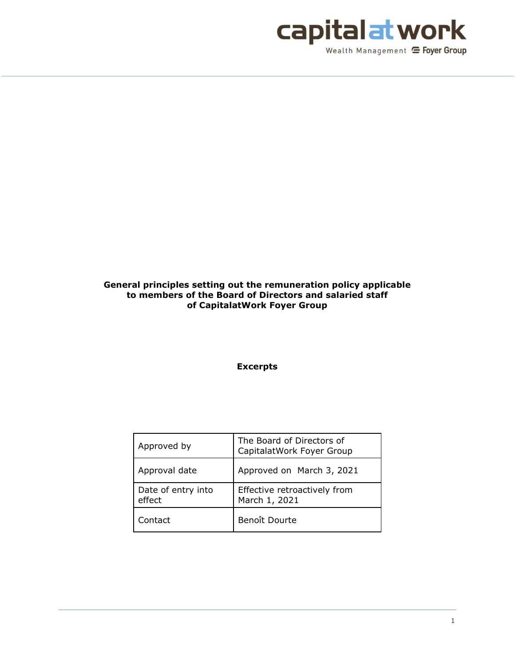

# **General principles setting out the remuneration policy applicable to members of the Board of Directors and salaried staff of CapitalatWork Foyer Group**

**Excerpts**

| Approved by                  | The Board of Directors of<br>CapitalatWork Foyer Group |
|------------------------------|--------------------------------------------------------|
| Approval date                | Approved on March 3, 2021                              |
| Date of entry into<br>effect | Effective retroactively from<br>March 1, 2021          |
| Contact                      | Benoît Dourte                                          |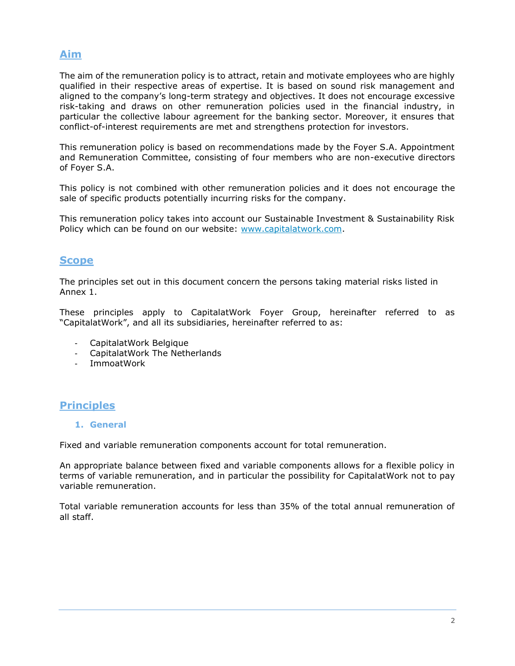# **Aim**

The aim of the remuneration policy is to attract, retain and motivate employees who are highly qualified in their respective areas of expertise. It is based on sound risk management and aligned to the company's long-term strategy and objectives. It does not encourage excessive risk-taking and draws on other remuneration policies used in the financial industry, in particular the collective labour agreement for the banking sector. Moreover, it ensures that conflict-of-interest requirements are met and strengthens protection for investors.

This remuneration policy is based on recommendations made by the Foyer S.A. Appointment and Remuneration Committee, consisting of four members who are non-executive directors of Foyer S.A.

This policy is not combined with other remuneration policies and it does not encourage the sale of specific products potentially incurring risks for the company.

This remuneration policy takes into account our Sustainable Investment & Sustainability Risk Policy which can be found on our website: [www.capitalatwork.com.](http://www.capitalatwork.com/)

# **Scope**

The principles set out in this document concern the persons taking material risks listed in Annex 1.

These principles apply to CapitalatWork Foyer Group, hereinafter referred to as "CapitalatWork", and all its subsidiaries, hereinafter referred to as:

- CapitalatWork Belgique
- CapitalatWork The Netherlands
- ImmoatWork

# **Principles**

#### **1. General**

Fixed and variable remuneration components account for total remuneration.

An appropriate balance between fixed and variable components allows for a flexible policy in terms of variable remuneration, and in particular the possibility for CapitalatWork not to pay variable remuneration.

Total variable remuneration accounts for less than 35% of the total annual remuneration of all staff.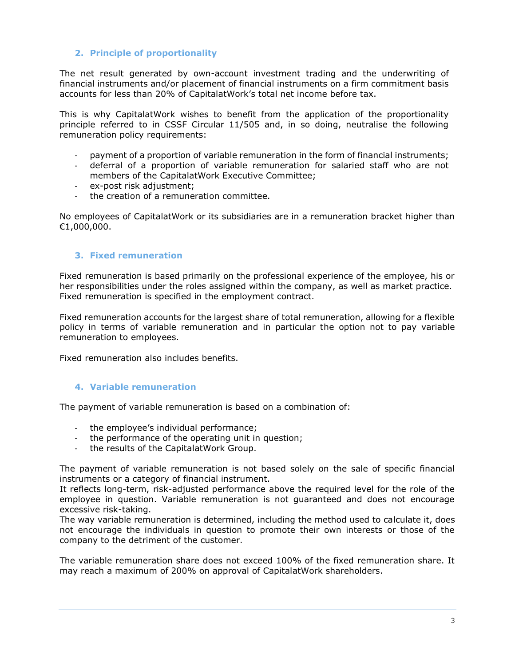# **2. Principle of proportionality**

The net result generated by own-account investment trading and the underwriting of financial instruments and/or placement of financial instruments on a firm commitment basis accounts for less than 20% of CapitalatWork's total net income before tax.

This is why CapitalatWork wishes to benefit from the application of the proportionality principle referred to in CSSF Circular 11/505 and, in so doing, neutralise the following remuneration policy requirements:

- payment of a proportion of variable remuneration in the form of financial instruments;
- deferral of a proportion of variable remuneration for salaried staff who are not members of the CapitalatWork Executive Committee;
- ex-post risk adjustment;
- the creation of a remuneration committee.

No employees of CapitalatWork or its subsidiaries are in a remuneration bracket higher than €1,000,000.

## **3. Fixed remuneration**

Fixed remuneration is based primarily on the professional experience of the employee, his or her responsibilities under the roles assigned within the company, as well as market practice. Fixed remuneration is specified in the employment contract.

Fixed remuneration accounts for the largest share of total remuneration, allowing for a flexible policy in terms of variable remuneration and in particular the option not to pay variable remuneration to employees.

Fixed remuneration also includes benefits.

#### **4. Variable remuneration**

The payment of variable remuneration is based on a combination of:

- the employee's individual performance;
- the performance of the operating unit in question;
- the results of the CapitalatWork Group.

The payment of variable remuneration is not based solely on the sale of specific financial instruments or a category of financial instrument.

It reflects long-term, risk-adjusted performance above the required level for the role of the employee in question. Variable remuneration is not guaranteed and does not encourage excessive risk-taking.

The way variable remuneration is determined, including the method used to calculate it, does not encourage the individuals in question to promote their own interests or those of the company to the detriment of the customer.

The variable remuneration share does not exceed 100% of the fixed remuneration share. It may reach a maximum of 200% on approval of CapitalatWork shareholders.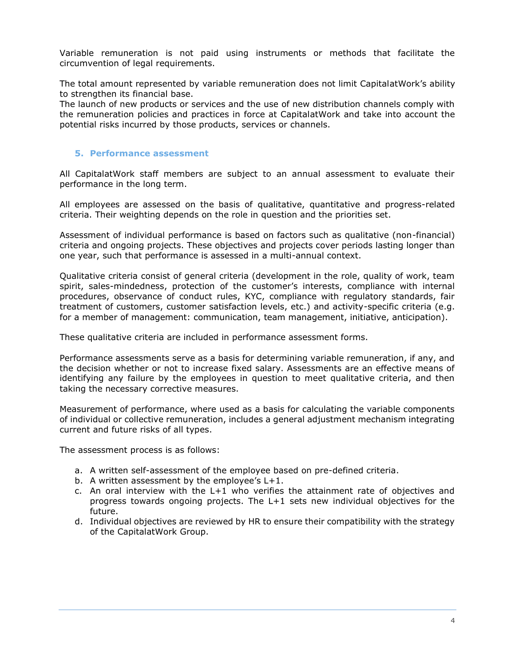Variable remuneration is not paid using instruments or methods that facilitate the circumvention of legal requirements.

The total amount represented by variable remuneration does not limit CapitalatWork's ability to strengthen its financial base.

The launch of new products or services and the use of new distribution channels comply with the remuneration policies and practices in force at CapitalatWork and take into account the potential risks incurred by those products, services or channels.

#### **5. Performance assessment**

All CapitalatWork staff members are subject to an annual assessment to evaluate their performance in the long term.

All employees are assessed on the basis of qualitative, quantitative and progress-related criteria. Their weighting depends on the role in question and the priorities set.

Assessment of individual performance is based on factors such as qualitative (non-financial) criteria and ongoing projects. These objectives and projects cover periods lasting longer than one year, such that performance is assessed in a multi-annual context.

Qualitative criteria consist of general criteria (development in the role, quality of work, team spirit, sales-mindedness, protection of the customer's interests, compliance with internal procedures, observance of conduct rules, KYC, compliance with regulatory standards, fair treatment of customers, customer satisfaction levels, etc.) and activity-specific criteria (e.g. for a member of management: communication, team management, initiative, anticipation).

These qualitative criteria are included in performance assessment forms.

Performance assessments serve as a basis for determining variable remuneration, if any, and the decision whether or not to increase fixed salary. Assessments are an effective means of identifying any failure by the employees in question to meet qualitative criteria, and then taking the necessary corrective measures.

Measurement of performance, where used as a basis for calculating the variable components of individual or collective remuneration, includes a general adjustment mechanism integrating current and future risks of all types.

The assessment process is as follows:

- a. A written self-assessment of the employee based on pre-defined criteria.
- b. A written assessment by the employee's L+1.
- c. An oral interview with the L+1 who verifies the attainment rate of objectives and progress towards ongoing projects. The L+1 sets new individual objectives for the future.
- d. Individual objectives are reviewed by HR to ensure their compatibility with the strategy of the CapitalatWork Group.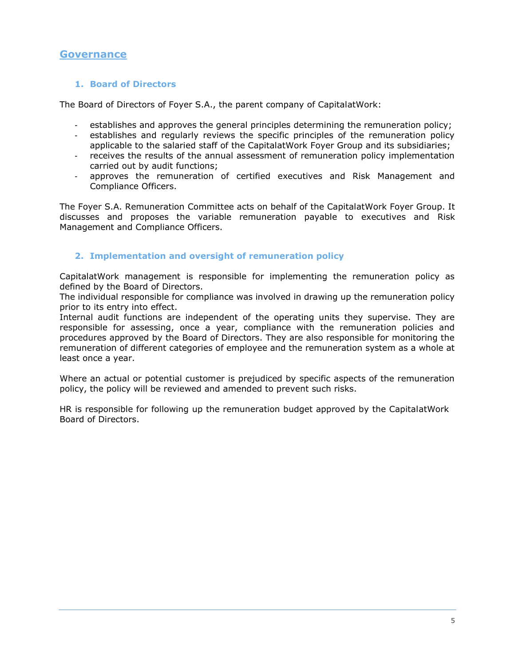# **Governance**

## **1. Board of Directors**

The Board of Directors of Foyer S.A., the parent company of CapitalatWork:

- establishes and approves the general principles determining the remuneration policy;
- establishes and regularly reviews the specific principles of the remuneration policy applicable to the salaried staff of the CapitalatWork Foyer Group and its subsidiaries;
- receives the results of the annual assessment of remuneration policy implementation carried out by audit functions;
- approves the remuneration of certified executives and Risk Management and Compliance Officers.

The Foyer S.A. Remuneration Committee acts on behalf of the CapitalatWork Foyer Group. It discusses and proposes the variable remuneration payable to executives and Risk Management and Compliance Officers.

## **2. Implementation and oversight of remuneration policy**

CapitalatWork management is responsible for implementing the remuneration policy as defined by the Board of Directors.

The individual responsible for compliance was involved in drawing up the remuneration policy prior to its entry into effect.

Internal audit functions are independent of the operating units they supervise. They are responsible for assessing, once a year, compliance with the remuneration policies and procedures approved by the Board of Directors. They are also responsible for monitoring the remuneration of different categories of employee and the remuneration system as a whole at least once a year.

Where an actual or potential customer is prejudiced by specific aspects of the remuneration policy, the policy will be reviewed and amended to prevent such risks.

HR is responsible for following up the remuneration budget approved by the CapitalatWork Board of Directors.